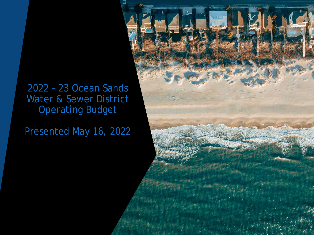## 2022 – 23 Ocean Sands Water & Sewer District Operating Budget

Presented May 16, 2022

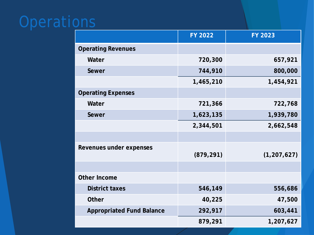# **Operations**

|                                  | <b>FY 2022</b> | FY 2023       |
|----------------------------------|----------------|---------------|
| <b>Operating Revenues</b>        |                |               |
| Water                            | 720,300        | 657,921       |
| Sewer                            | 744,910        | 800,000       |
|                                  | 1,465,210      | 1,454,921     |
| <b>Operating Expenses</b>        |                |               |
| Water                            | 721,366        | 722,768       |
| Sewer                            | 1,623,135      | 1,939,780     |
|                                  | 2,344,501      | 2,662,548     |
|                                  |                |               |
| Revenues under expenses          | (879, 291)     | (1, 207, 627) |
|                                  |                |               |
| <b>Other Income</b>              |                |               |
| <b>District taxes</b>            | 546,149        | 556,686       |
| <b>Other</b>                     | 40,225         | 47,500        |
| <b>Appropriated Fund Balance</b> | 292,917        | 603,441       |
|                                  | 879,291        | 1,207,627     |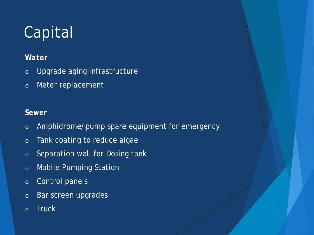# Capital

## *Water*

- o Upgrade aging infrastructure
- o Meter replacement

## *Sewer*

- o Amphidrome/pump spare equipment for emergency
- o Tank coating to reduce algae
- o Separation wall for Dosing tank
- o Mobile Pumping Station
- o Control panels
- o Bar screen upgrades
- o Truck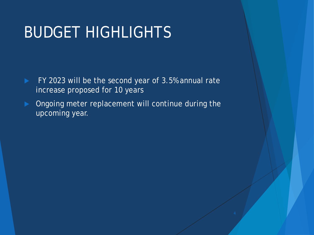## BUDGET HIGHLIGHTS

- FY 2023 will be the second year of 3.5% annual rate increase proposed for 10 years
- **Diamonglehi** Ongoing meter replacement will continue during the upcoming year.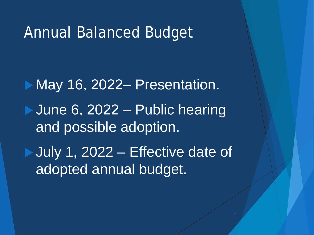## Annual Balanced Budget

May 16, 2022– Presentation. **June 6, 2022 – Public hearing** and possible adoption. July 1, 2022 – Effective date of adopted annual budget.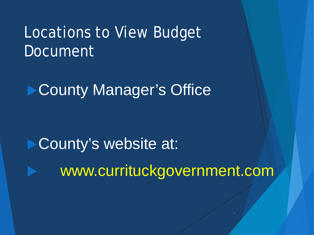## Locations to View Budget Document

▶ County Manager's Office

County's website at: www.currituckgovernment.com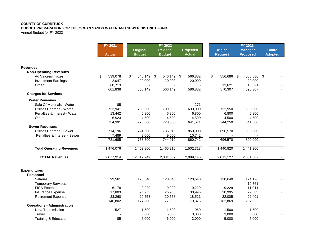## **COUNTY OF CURRITUCK**

**BUDGET PREPARATION FOR THE OCEAN SANDS WATER AND SEWER DISTRICT FUND**

Annual Budget for FY 2023

|                                         | FY 2021       | FY 2022                          |  | FY 2023                         |      |                            |    |                                   |                                   |                                |
|-----------------------------------------|---------------|----------------------------------|--|---------------------------------|------|----------------------------|----|-----------------------------------|-----------------------------------|--------------------------------|
|                                         | <b>Actual</b> | <b>Original</b><br><b>Budget</b> |  | <b>Revised</b><br><b>Budget</b> |      | Projected<br><b>Actual</b> |    | <b>Original</b><br><b>Request</b> | <b>Manager</b><br><b>Proposed</b> | <b>Board</b><br><b>Adopted</b> |
|                                         |               |                                  |  |                                 |      |                            |    |                                   |                                   |                                |
| <b>Revenues</b>                         |               |                                  |  |                                 |      |                            |    |                                   |                                   |                                |
| <b>Non-Operating Revenues</b>           |               |                                  |  |                                 |      |                            |    |                                   |                                   |                                |
| Ad Valorem Taxes                        | \$<br>539,078 | \$<br>546,149 \$                 |  | 546,149                         | - \$ | 566,832                    | \$ | 556,686 \$                        | 556,686 \$                        |                                |
| <b>Investment Earnings</b>              | 2,047         | 20,000                           |  | 20,000                          |      | 20,000                     |    |                                   | 20,000                            |                                |
| Other                                   | 60,713        |                                  |  |                                 |      |                            |    | 13,621                            | 13,621                            |                                |
|                                         | 601,838       | 566,149                          |  | 566,149                         |      | 586,832                    |    | 570,307                           | 590,307                           |                                |
| <b>Charges for Services</b>             |               |                                  |  |                                 |      |                            |    |                                   |                                   |                                |
| <b>Water Revenues</b>                   |               |                                  |  |                                 |      |                            |    |                                   |                                   |                                |
| Sale Of Materials - Water               | 85            |                                  |  |                                 |      | 271                        |    |                                   |                                   |                                |
| Utilities Charges - Water               | 733,941       | 709,000                          |  | 709,000                         |      | 630,000                    |    | 732,950                           | 630,000                           |                                |
| Penalties & Interest - Water            | 13,442        | 6,800                            |  | 6,800                           |      | 6,800                      |    | 6,800                             | 6,800                             |                                |
| Other                                   | 6,923         | 4,500                            |  | 4,500                           |      | 4,500                      |    | 4,500                             | 4,500                             |                                |
|                                         | 754,391       | 720,300                          |  | 720,300                         |      | 641,571                    |    | 744,250                           | 641,300                           |                                |
| <b>Sewer Revenues</b>                   |               |                                  |  |                                 |      |                            |    |                                   |                                   |                                |
| Utilities Charges - Sewer               | 714,196       | 724,500                          |  | 735,910                         |      | 850,000                    |    | 696,570                           | 800,000                           |                                |
| Penalties & Interest - Sewer            | 7,489         | 9,000                            |  | 9,000                           |      | 10,742                     |    |                                   |                                   |                                |
|                                         | 721,685       | 733,500                          |  | 744,910                         |      | 860,742                    |    | 696,570                           | 800,000                           |                                |
| <b>Total Operating Revenues</b>         | 1,476,076     | 1,453,800                        |  | 1,465,210                       |      | 1,502,313                  |    | 1,440,820                         | 1,441,300                         | $\overline{\phantom{a}}$       |
| <b>TOTAL Revenues</b>                   | 2,077,914     | 2,019,949                        |  | 2,031,359                       |      | 2,089,145                  |    | 2,011,127                         | 2,031,607                         |                                |
| <b>Expenditures</b><br><b>Personnel</b> |               |                                  |  |                                 |      |                            |    |                                   |                                   |                                |
| <b>Salaries</b>                         | 99,561        | 120,640                          |  | 120,640                         |      | 120,640                    |    | 120,640                           | 124,176                           |                                |
| <b>Temporary Services</b>               |               |                                  |  |                                 |      |                            |    |                                   | 19,761                            |                                |
| <b>FICA Expense</b>                     | 6,178         | 9,229                            |  | 9,229                           |      | 9,229                      |    | 9,229                             | 11,011                            |                                |
| Insurance Expense                       | 17,803        | 26,953                           |  | 26,953                          |      | 30,995                     |    | 30,995                            | 29,683                            |                                |
| <b>Retirement Expense</b>               | 23,260        | 20,558                           |  | 20,558                          |      | 18,511                     |    | 22,005                            | 22,401                            |                                |
|                                         | 146,802       | 177,380                          |  | 177,380                         |      | 179,375                    |    | 182,869                           | 207,032                           |                                |
| <b>Operations - Administration</b>      |               |                                  |  |                                 |      |                            |    |                                   |                                   |                                |
| Data Transmission                       | 527           | 1,500                            |  | 1,500                           |      | 960                        |    | 1,500                             | 1,500                             |                                |
| Travel                                  |               | 5,000                            |  | 5,000                           |      | 3,000                      |    | 3,000                             | 3,000                             |                                |
| Training & Education                    | 85            | 6,000                            |  | 6,000                           |      | 3,000                      |    | 5,000                             | 5,000                             |                                |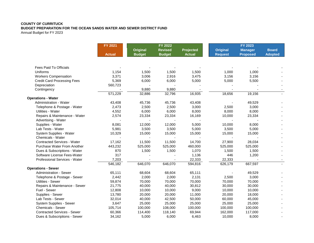## **COUNTY OF CURRITUCK**

## **BUDGET PREPARATION FOR THE OCEAN SANDS WATER AND SEWER DISTRICT FUND**

Annual Budget for FY 2023

|                                    | FY 2021       | FY 2022         |                |                  |                 |                                  |                |
|------------------------------------|---------------|-----------------|----------------|------------------|-----------------|----------------------------------|----------------|
|                                    |               | <b>Original</b> | <b>Revised</b> | <b>Projected</b> | <b>Original</b> | <b>FY 2023</b><br><b>Manager</b> | <b>Board</b>   |
|                                    | <b>Actual</b> | <b>Budget</b>   | <b>Budget</b>  | <b>Actual</b>    | <b>Request</b>  | <b>Proposed</b>                  | <b>Adopted</b> |
| <b>Fees Paid To Officials</b>      |               |                 |                |                  |                 |                                  |                |
| Uniforms                           | 1,154         | 1,500           | 1,500          | 1,500            | 1,000           | 1,000                            |                |
| <b>Workers Compensation</b>        | 3,371         | 3,006           | 2,916          | 3,475            | 3,156           | 3,156                            |                |
| <b>Credit Card Processing Fees</b> | 5,369         | 6,000           | 6,000          | 5,000            | 5,000           | 5,500                            |                |
| Depreciation                       | 560,723       |                 |                |                  |                 |                                  |                |
| Contingency                        |               | 9,880           | 9,880          |                  |                 |                                  |                |
|                                    | 571,229       | 32,886          | 32,796         | 16,935           | 18,656          | 19,156                           |                |
| <b>Operations - Water</b>          |               |                 |                |                  |                 |                                  |                |
| Administration - Water             | 43,408        | 45,736          | 45,736         | 43,408           |                 | 49,529                           |                |
| Telephone & Postage - Water        | 2,473         | 2,500           | 2,500          | 3,000            | 2,500           | 3,000                            |                |
| Utilities - Water                  | 4,552         | 6,000           | 6,000          | 8,000            | 8,000           | 8,000                            |                |
| Repairs & Maintenance - Water      | 2,574         | 23,334          | 23,334         | 16,169           | 10,000          | 23,334                           |                |
| Advertising - Water                |               |                 |                |                  |                 |                                  |                |
| Supplies - Water                   | 8,081         | 12,000          | 12,000         | 5,000            | 10,000          | 8,000                            |                |
| Lab Tests - Water                  | 5,981         | 3,500           | 3,500          | 5,000            | 3,500           | 5,000                            |                |
| System Supplies - Water            | 10,329        | 15,000          | 15,000         | 15,000           | 15,000          | 15,000                           |                |
| Chemicals - Water                  |               |                 |                |                  |                 |                                  |                |
| <b>Contracted Services - Water</b> | 17,162        | 11,500          | 11,500         | 14,700           | 27,900          | 28,034                           |                |
| <b>Purchase Water From Another</b> | 443,232       | 525,000         | 525,000        | 460,000          | 525,000         | 525,000                          |                |
| Dues & Subscriptions - Water       | 870           | 1,500           | 1,500          | 1,070            | 1,500           | 1,500                            |                |
| Software License Fees-Water        | 317           |                 |                | 1,136            | 446             | 1,200                            |                |
| Professional Services - Water      | 7,203         |                 |                | 22,333           | 22,333          |                                  |                |
|                                    | 546,182       | 646,070         | 646,070        | 594,816          | 626,179         | 667,597                          |                |
| <b>Operations - Sewer</b>          |               |                 |                |                  |                 |                                  |                |
| <b>Administration - Sewer</b>      | 65,111        | 68,604          | 68,604         | 65,111           |                 | 49,529                           |                |
| Telephone & Postage - Sewer        | 2,442         | 2,000           | 2,000          | 2,131            | 2,500           | 3,000                            |                |
| <b>Utilities - Sewer</b>           | 59,874        | 70,000          | 70,000         | 70,000           | 70,000          | 70,000                           |                |
| Repairs & Maintenance - Sewer      | 21,775        | 40,000          | 40,000         | 30,812           | 30,000          | 30,000                           |                |
| Fuel - Sewer                       | 12,808        | 10,000          | 10,000         | 9,000            | 10,000          | 10,000                           |                |
| Supplies - Sewer                   | 13,780        | 20,000          | 20,000         | 11,000           | 20,000          | 18,000                           |                |
| Lab Tests - Sewer                  | 32,014        | 40,000          | 42,500         | 50,000           | 60,000          | 45,000                           |                |
| System Supplies - Sewer            | 3,647         | 25,000          | 25,000         | 25,000           | 25,000          | 25,000                           |                |
| <b>Chemicals - Sewer</b>           | 105,714       | 100,000         | 108,000        | 100,000          | 100,000         | 100,000                          |                |
| <b>Contracted Services - Sewer</b> | 60,366        | 114,400         | 118,140        | 69,944           | 162,000         | 117,000                          |                |
| Dues & Subscriptions - Sewer       | 34,162        | 5,000           | 6,000          | 6,463            | 10,000          | 8,000                            |                |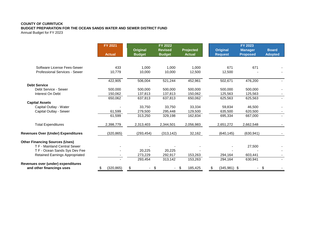## **COUNTY OF CURRITUCK**

**BUDGET PREPARATION FOR THE OCEAN SANDS WATER AND SEWER DISTRICT FUND**

Annual Budget for FY 2023

|                                                                 | <b>FY 2021</b><br><b>Actual</b> | <b>Original</b><br><b>Budget</b> | <b>FY 2022</b><br><b>Revised</b><br><b>Budget</b> | <b>Projected</b><br><b>Actual</b> | <b>Original</b><br><b>Request</b> | <b>FY 2023</b><br><b>Manager</b><br><b>Proposed</b> | <b>Board</b><br><b>Adopted</b> |
|-----------------------------------------------------------------|---------------------------------|----------------------------------|---------------------------------------------------|-----------------------------------|-----------------------------------|-----------------------------------------------------|--------------------------------|
|                                                                 |                                 |                                  |                                                   |                                   |                                   |                                                     |                                |
| Software License Fees-Sewer                                     | 433                             | 1,000                            | 1,000                                             | 1.000                             | 671                               | 671                                                 |                                |
| <b>Professional Services - Sewer</b>                            | 10,779                          | 10,000                           | 10,000                                            | 12,500                            | 12,500                            |                                                     |                                |
|                                                                 | 422,905                         | 506,004                          | 521,244                                           | 452,961                           | 502,671                           | 476,200                                             |                                |
| <b>Debt Service</b>                                             |                                 |                                  |                                                   |                                   |                                   |                                                     |                                |
| Debt Service - Sewer                                            | 500,000                         | 500,000                          | 500,000                                           | 500,000                           | 500,000                           | 500,000                                             |                                |
| Interest On Debt                                                | 150,062                         | 137,813                          | 137,813                                           | 150,062                           | 125,563                           | 125,563                                             |                                |
|                                                                 | 650,062                         | 637,813                          | 637,813                                           | 650,062                           | 625,563                           | 625,563                                             |                                |
| <b>Capital Assets</b>                                           |                                 |                                  |                                                   |                                   |                                   |                                                     |                                |
| Capital Outlay - Water                                          |                                 | 33,750                           | 33,750                                            | 33,334                            | 59,834                            | 46,500                                              |                                |
| Capital Outlay - Sewer                                          | 61,599                          | 279,500                          | 295,448                                           | 129,500                           | 635,500                           | 620,500                                             |                                |
|                                                                 | 61,599                          | 313,250                          | 329,198                                           | 162,834                           | 695,334                           | 667,000                                             |                                |
| <b>Total Expenditures</b>                                       | 2,398,779                       | 2,313,403                        | 2,344,501                                         | 2,056,983                         | 2,651,272                         | 2,662,548                                           |                                |
| <b>Revenues Over (Under) Expenditures</b>                       | (320, 865)                      | (293, 454)                       | (313, 142)                                        | 32,162                            | (640, 145)                        | (630, 941)                                          |                                |
| <b>Other Financing Sources (Uses)</b>                           |                                 |                                  |                                                   |                                   |                                   |                                                     |                                |
| T F - Mainland Central Sewer                                    |                                 |                                  |                                                   |                                   |                                   | 27,500                                              |                                |
| T F - Ocean Sands Sys Dev Fee                                   |                                 | 20,225                           | 20,225                                            |                                   |                                   |                                                     |                                |
| Retained Earnings Appropriated                                  |                                 | 273,229                          | 292,917                                           | 153,263                           | 294,164                           | 603,441                                             |                                |
|                                                                 |                                 | 293,454                          | 313,142                                           | 153,263                           | 294,164                           | 630,941                                             |                                |
| Revenues over (under) expenditures<br>and other financings uses | (320, 865)                      |                                  | \$                                                | 185,425<br>\$.                    | $(345,981)$ \$                    |                                                     |                                |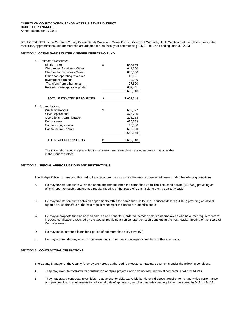### **CURRITUCK COUNTY OCEAN SANDS WATER & SEWER DISTRICT BUDGET ORDINANCE**

Annual Budget for FY 2023

BE IT ORDAINED by the Currituck County Ocean Sands Water and Sewer District, County of Currituck, North Carolina that the following estimated resources, appropriations, and memoranda are adopted for the fiscal year commencing July 1, 2022 and ending June 30, 2023.

### **SECTION 1. OCEAN SANDS WATER & SEWER OPERATING FUND**

|    | A. Estimated Resources:        |                 |
|----|--------------------------------|-----------------|
|    | <b>District Taxes</b>          | \$<br>556,686   |
|    | Charges for Services - Water   | 641,300         |
|    | Charges for Services - Sewer   | 800,000         |
|    | Other non-operating revenues   | 13,621          |
|    | Investment earnings            | 20,000          |
|    | Transfers from other funds     | 27,500          |
|    | Retained earnings appropriated | 603,441         |
|    |                                | 2,662,548       |
|    |                                |                 |
|    | TOTAL ESTIMATED RESOURCES      | \$<br>2,662,548 |
|    |                                |                 |
| В. | Appropriations:                |                 |
|    | Water operations               | \$<br>667,597   |
|    | Sewer operations               | 476,200         |
|    | Operations - Administration    | 226,188         |
|    | Debt - sewer                   | 625,563         |
|    | Capital outlay - water         | 46,500          |
|    | Capital outlay - sewer         | 620,500         |
|    |                                | 2,662,548       |
|    |                                |                 |
|    | TOTAL APPROPRIATIONS           | \$<br>2,662,548 |

The information above is presented in summary form. Complete detailed information is available in the County budget.

### **SECTION 2. SPECIAL APPROPRIATIONS AND RESTRICTIONS**

The Budget Officer is hereby authorized to transfer appropriations within the funds as contained herein under the following conditions.

- A. He may transfer amounts within the same department within the same fund up to Ten Thousand dollars (\$10,000) providing an official report on such transfers at a regular meeting of the Board of Commissioners on a quarterly basis.
- B. He may transfer amounts between departments within the same fund up to One Thousand dollars (\$1,000) providing an official report on such transfers at the next regular meeting of the Board of Commissioners.
- C. He may appropriate fund balance to salaries and benefits in order to increase salaries of employees who have met requirements to increase certifications required by the County providing an office report on such transfers at the next regular meeting of the Board of Commissioners.
- D. He may make interfund loans for a period of not more than sixty days (60).
- E. He may not transfer any amounts between funds or from any contingency line items within any funds.

### **SECTION 3. CONTRACTUAL OBLIGATIONS**

The County Manager or the County Attorney are hereby authorized to execute contractual documents under the following conditions:

- A. They may execute contracts for construction or repair projects which do not require formal competitive bid procedures.
- B. They may award contracts, reject bids, re-advertise for bids, waive bid bonds or bid deposit requirements, and waive performance and payment bond requirements for all formal bids of apparatus, supplies, materials and equipment as stated in G. S. 143-129.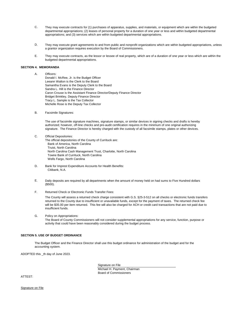- C. They may execute contracts for (1) purchases of apparatus, supplies, and materials, or equipment which are within the budgeted departmental appropriations; (2) leases of personal property for a duration of one year or less and within budgeted departmental appropriations; and (3) services which are within budgeted departmental appropriations.
- D. They may execute grant agreements to and from public and nonprofit organizations which are within budgeted appropriations, unless a grantor organization requires execution by the Board of Commissioners.
- E. They may execute contracts, as the lessor or lessee of real property, which are of a duration of one year or less which are within the budgeted departmental appropriations.

#### **SECTION 4. MEMORANDA**

### A. Officers:

Donald I. McRee, Jr. is the Budget Officer Leeann Walton is the Clerk to the Board Samantha Evans is the Deputy Clerk to the Board Sandra L. Hill is the Finance Director Caron Crouse is the Assistant Finance Director/Deputy Finance Director Bridget Brinkley, Deputy Finance Director Tracy L. Sample is the Tax Collector Michelle Rose is the Deputy Tax Collector

B. Facsimile Signatures:

The use of facsimile signature machines, signature stamps, or similar devices in signing checks and drafts is hereby authorized; however, off-line checks and pre-audit certification requires in the minimum of one original authorizing signature. The Finance Director is hereby charged with the custody of all facsimile stamps, plates or other devices.

- C. Official Depositories: The official depositories of the County of Currituck are: Bank of America, North Carolina Truist, North Carolina North Carolina Cash Management Trust, Charlotte, North Carolina Towne Bank of Currituck, North Carolina Wells Fargo, North Carolina
- D. Bank for Imprest Expenditure Accounts for Health Benefits: Citibank, N.A.
- E. Daily deposits are required by all departments when the amount of money held on had sums to Five Hundred dollars (\$500).
- F. Returned Check or Electronic Funds Transfer Fees:

The County will assess a returned check charge consistent with G.S. §25-3-512 on all checks or electronic funds transfers returned to the County due to insufficient or unavailable funds, except for the payment of taxes. The returned check fee will be \$35.00 per item returned. This fee will also be charged for ACH or credit card transactions that are not paid due to insufficient funds.

G. Policy on Appropriations: The Board of County Commissioners will not consider supplemental appropriations for any service, function, purpose or activity that could have been reasonably considered during the budget process.

#### **SECTION 5. USE OF BUDGET ORDINANCE**

The Budget Officer and the Finance Director shall use this budget ordinance for administration of the budget and for the accounting system.

ADOPTED this \_th day of June 2023.

Signature on File

Michael H. Payment, Chairman Board of Commissioners

ATTEST:

Signature on File